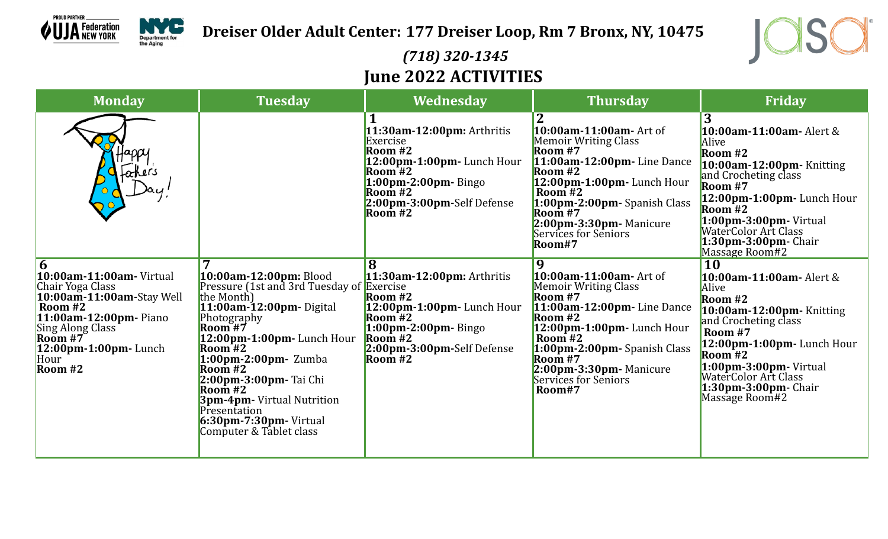

**Dreiser Older Adult Center: 177 Dreiser Loop, Rm 7 Bronx, NY, 10475**



## *(718) 320-1345* **June 2022 ACTIVITIES**

| <b>Monday</b>                                                                                                                                                                                                               | <b>Tuesday</b>                                                                                                                                                                                                                                                                                                                                                                                  | Wednesday                                                                                                                                                                                          | <b>Thursday</b>                                                                                                                                                                                                                                                              | Friday                                                                                                                                                                                                                                                                         |
|-----------------------------------------------------------------------------------------------------------------------------------------------------------------------------------------------------------------------------|-------------------------------------------------------------------------------------------------------------------------------------------------------------------------------------------------------------------------------------------------------------------------------------------------------------------------------------------------------------------------------------------------|----------------------------------------------------------------------------------------------------------------------------------------------------------------------------------------------------|------------------------------------------------------------------------------------------------------------------------------------------------------------------------------------------------------------------------------------------------------------------------------|--------------------------------------------------------------------------------------------------------------------------------------------------------------------------------------------------------------------------------------------------------------------------------|
| father's                                                                                                                                                                                                                    |                                                                                                                                                                                                                                                                                                                                                                                                 | 11:30am-12:00pm: Arthritis<br>Exercise<br>Room $#2$<br>$12:00$ pm-1:00pm-Lunch Hour<br>$Room1$ #2<br>$1:00$ pm-2:00pm-Bingo<br>Room#2<br>2:00pm-3:00pm-Self Defense<br>$\overline{\text{Room}}$ #2 | 10:00am-11:00am- Art of<br><b>Memoir Writing Class</b><br>Room $#7$<br>11:00am-12:00pm-Line Dance<br>Room $#2$<br>12:00pm-1:00pm-Lunch Hour<br>Room $#2$<br>1:00pm-2:00pm-Spanish Class<br>$\bf$ Room #7<br>$2:00$ pm-3:30pm-Manicure<br>Services for Seniors<br>Room#7      | 3<br><b>10:00am-11:00am-</b> Alert &<br>Alive<br>Room #2<br>10:00am-12:00pm- Knitting<br>and Crocheting class<br>Room #7<br>$12:00$ pm-1:00pm-Lunch Hour<br>Room #2<br>$1:00$ pm-3:00pm-Virtual<br>WaterColor Art Class<br>$1:30$ pm-3:00pm- Chair<br>Massage Room#2           |
| 6<br><b>10:00am-11:00am-</b> Virtual<br>Chair Yoga Class<br>10:00am-11:00am-Stay Well<br>Room #2<br>11:00am-12:00pm- Piano<br>Sing Along Class<br>$\overline{\text{Room H}^2}$<br>$12:00$ pm-1:00pm-Lunch<br>Hour<br>Room#2 | 10:00am-12:00pm: Blood<br>Pressure (1st and 3rd Tuesday of Exercise<br>the Month)<br>11:00am-12:00pm-Digital<br>Photography<br>Room $#7$<br>$12:00$ pm-1:00pm-Lunch Hour<br>Room#2<br>$1:00$ pm-2:00pm- Zumba<br>Room $#2$<br>2:00pm-3:00pm- Tai Chi<br>$\overline{\text{Room}}$ #2<br><b>3pm-4pm-</b> Virtual Nutrition<br>Presentation<br>$6:30$ pm-7:30pm-Virtual<br>Computer & Tablet class | $11:30$ am-12:00pm: Arthritis<br>Room $#2$<br>12:00pm-1:00pm-Lunch Hour<br>$\sqrt{\text{Room} H2}$<br>$1:00$ pm-2:00pm-Bingo<br>$\sqrt{\text{Room} + 2}$<br>2:00pm-3:00pm-Self Defense<br>Room#2   | 9<br>10:00am-11:00am- Art of<br><b>Memoir Writing Class</b><br>Room $#7$<br>$11:00$ am-12:00pm-Line Dance<br>Room $#2$<br>$12:00$ pm-1:00pm-Lunch Hour<br>Room $#2$<br>1:00pm-2:00pm- Spanish Class<br>Room#7<br>$2:00$ pm-3:30pm-Manicure<br>Services for Seniors<br>Room#7 | <b>10</b><br><b>10:00am-11:00am-</b> Alert &<br>Alive<br>Room #2<br>$10:00$ am-12:00pm-Knitting<br>and Crocheting class<br>Room #7<br>$12:00$ pm-1:00pm-Lunch Hour<br>Room #2<br>$1:00$ pm-3:00pm-Virtual<br>WaterColor Art Class<br>$1:30$ pm-3:00pm- Chair<br>Massage Room#2 |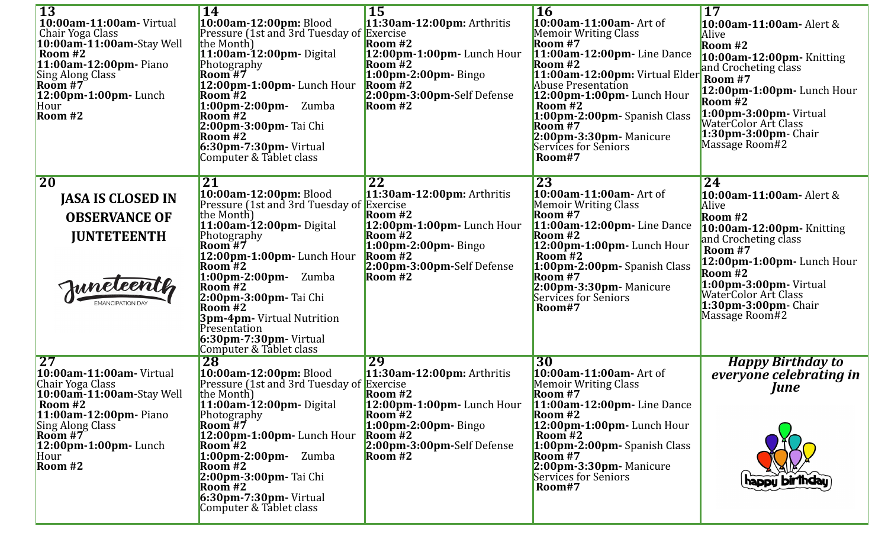| <b>13</b><br>10:00am-11:00am-Virtual<br>Chair Yoga Class<br>10:00am-11:00am-Stay Well<br>Room #2<br>11:00am-12:00pm- Piano<br>Sing Along Class<br>$\overline{\text{Room H7}}$<br>12:00pm-1:00pm-Lunch<br>Hour<br>Room $#2$   | <b>14</b><br>10:00am-12:00pm: Blood<br>Pressure (1st and 3rd Tuesday of Exercise<br>the Month)<br>$11:00$ am-12:00pm-Digital<br>Photography<br>$\overline{\text{Room}}$ #7<br>$12:00$ pm-1:00pm-Lunch Hour<br>Room#2<br>1:00pm-2:00pm-<br>Zumba<br>Room #2<br>2:00pm-3:00pm- Tai Chi<br>Room $#2$<br>$6:30$ pm-7:30pm-Virtual<br>Computer & Tablet class                                         | <b>15</b><br>11:30am-12:00pm: Arthritis<br>Room $#2$<br>$12:00$ pm-1:00pm-Lunch Hour<br>Room $#2$<br>$1:00$ pm-2:00pm-Bingo<br>Room#2<br>2:00pm-3:00pm-Self Defense<br>Room $#2$                                                   | <b>16</b><br>10:00am-11:00am- Art of<br><b>Memoir Writing Class</b><br>Room $#7$<br>$11:00$ am-12:00pm-Line Dance<br>Room $#2$<br>11:00am-12:00pm: Virtual Elder<br>Abuse Presentation<br>$12:00$ pm-1:00pm-Lunch Hour<br>Room $#2$<br>1:00pm-2:00pm-Spanish Class<br>Room $#7$<br>2:00pm-3:30pm- Manicure<br>Services for Seniors<br>Room#7 | <b>17</b><br><b>10:00am-11:00am-</b> Alert &<br>Alive<br>Room #2<br>10:00am-12:00pm- Knitting<br>and Crocheting class<br>Room #7<br>12:00pm-1:00pm-Lunch Hour<br>Room $#2$<br>1:00pm-3:00pm-Virtual<br>WaterColor Art Class<br>$1:30$ pm-3:00pm- Chair<br>Massage Room#2 |
|------------------------------------------------------------------------------------------------------------------------------------------------------------------------------------------------------------------------------|--------------------------------------------------------------------------------------------------------------------------------------------------------------------------------------------------------------------------------------------------------------------------------------------------------------------------------------------------------------------------------------------------|------------------------------------------------------------------------------------------------------------------------------------------------------------------------------------------------------------------------------------|----------------------------------------------------------------------------------------------------------------------------------------------------------------------------------------------------------------------------------------------------------------------------------------------------------------------------------------------|--------------------------------------------------------------------------------------------------------------------------------------------------------------------------------------------------------------------------------------------------------------------------|
| <b>20</b><br><b>JASA IS CLOSED IN</b><br><b>OBSERVANCE OF</b><br><b>JUNTETEENTH</b><br>Juneleenth                                                                                                                            | 21<br>10:00am-12:00pm: Blood<br>Pressure (1st and 3rd Tuesday of<br>the Month)<br>$11:00$ am-12:00pm-Digital<br>Photography<br>Room $#7$<br>12:00pm-1:00pm- Lunch Hour<br>Room $#2$<br>$1:00 \text{pm-}2:00 \text{pm-}$<br>Zumba<br>Room $#2$<br>2:00pm-3:00pm- Tai Chi<br>Room $#2$<br><b>3pm-4pm-</b> Virtual Nutrition<br>Presentation<br>$6:30$ pm-7:30pm-Virtual<br>Computer & Tablet class | 22<br>$11:30$ am-12:00pm: Arthritis<br>Exercise<br>Room $#2$<br>12:00pm-1:00pm-Lunch Hour<br>$\sqrt{\text{Room} H2}$<br>$1:00$ pm-2:00pm-Bingo<br>$\sqrt{\text{Room}}$ #2<br>2:00pm-3:00pm-Self Defense<br>$\sqrt{\text{Room} H2}$ | <b>23</b><br>10:00am-11:00am- Art of<br>Memoir Writing Class<br>Room #7<br>$11:00$ am-12:00pm-Line Dance<br>Room #2<br>$12:00$ pm-1:00pm-Lunch Hour<br>Room $#2$<br>1:00pm-2:00pm- Spanish Class<br>Room #7<br>2:00pm-3:30pm- Manicure<br>Services for Seniors<br>Room#7                                                                     | 24<br>10:00am-11:00am- Alert &<br>Alive<br>Room #2<br>10:00am-12:00pm- Knitting<br>and Crocheting class<br>Room #7<br>$12:00$ pm-1:00pm-Lunch Hour<br>Room #2<br>$1:00$ pm-3:00pm-Virtual<br><b>WaterColor Art Class</b><br>$1:30$ pm-3:00pm- Chair<br>Massage Room#2    |
| $\overline{27}$<br>10:00am-11:00am-Virtual<br>Chair Yoga Class<br>10:00am-11:00am-Stay Well<br>Room #2<br>11:00am-12:00pm- Piano<br>Sing Along Class<br>$\overline{Room H7}$<br>$12:00$ pm-1:00pm-Lunch<br>Hour<br>Room $#2$ | <b>28</b><br>10:00am-12:00pm: Blood<br>Pressure (1st and 3rd Tuesday of Exercise<br>the Month)<br>11:00am-12:00pm-Digital<br>Photography<br>Room #7<br>12:00pm-1:00pm-Lunch Hour<br>Room <sup>42</sup><br>$1:00$ pm-2:00pm- Zumba<br>Room $#2$<br>2:00pm-3:00pm- Tai Chi<br>Room $#2$<br>$6:30$ pm-7:30pm-Virtual<br>Computer & Tablet class                                                     | 29<br>$11:30$ am-12:00pm: Arthritis<br>Room $#2$<br>$12:00$ pm-1:00pm-Lunch Hour<br>Room $#2$<br>$1:00$ pm-2:00pm-Bingo<br>Room $#2$<br>2:00pm-3:00pm-Self Defense<br>$\sqrt{\text{Room} H2}$                                      | $\overline{30}$<br>10:00am-11:00am- Art of<br>Memoir Writing Class<br>Room #7<br>11:00am-12:00pm- Line Dance<br>Room #2<br>$12:00$ pm-1:00pm-Lunch Hour<br>Room $#2$<br>1:00pm-2:00pm-Spanish Class<br>Room $#7$<br>$2:00$ pm-3:30pm-Manicure<br>Services for Seniors<br>Room#7                                                              | <b>Happy Birthday to</b><br>everyone celebrating in<br><b>June</b><br>happu birthdau                                                                                                                                                                                     |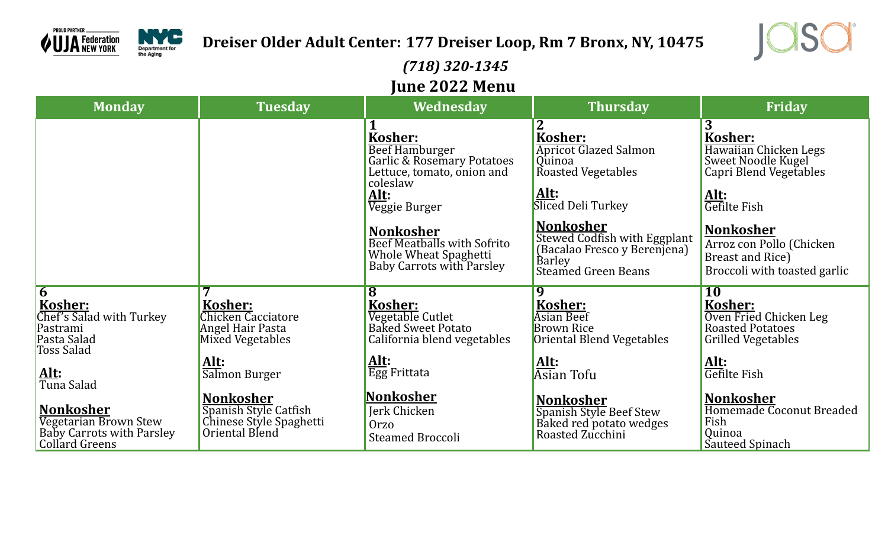



## *(718) 320-1345* **June 2022 Menu**

| <b>Monday</b>                                                                                                                                                                                                                  | <b>Tuesday</b>                                                                                                                                                                           | Wednesday                                                                                                                                                                                                                                         | <b>Thursday</b>                                                                                                                                                                                                                   | Friday                                                                                                                                                                                                                     |
|--------------------------------------------------------------------------------------------------------------------------------------------------------------------------------------------------------------------------------|------------------------------------------------------------------------------------------------------------------------------------------------------------------------------------------|---------------------------------------------------------------------------------------------------------------------------------------------------------------------------------------------------------------------------------------------------|-----------------------------------------------------------------------------------------------------------------------------------------------------------------------------------------------------------------------------------|----------------------------------------------------------------------------------------------------------------------------------------------------------------------------------------------------------------------------|
|                                                                                                                                                                                                                                |                                                                                                                                                                                          | Kosher:<br><b>Beef Hamburger</b><br>Garlic & Rosemary Potatoes<br>Lettuce, tomato, onion and<br>coleslaw<br>Alt:<br>Veggie Burger<br><b>Nonkosher</b><br><b>Beef Meatballs with Sofrito</b><br>Whole Wheat Spaghetti<br>Baby Carrots with Parsley | Kosher:<br><b>Apricot Glazed Salmon</b><br>Quinoa<br>Roasted Vegetables<br>Alt:<br>Sliced Deli Turkey<br><b>Nonkosher</b><br>Stewed Codfish with Eggplant<br>(Bacalao Fresco y Berenjena)<br>Barley<br><b>Steamed Green Beans</b> | 3<br>Kosher:<br>Hawaiian Chicken Legs<br>Sweet Noodle Kugel<br>Capri Blend Vegetables<br>Alt:<br>Gefilte Fish<br><b>Nonkosher</b><br>Arroz con Pollo (Chicken<br>Breast and Rice)<br>Broccoli with toasted garlic          |
| $\overline{6}$<br><b>Kosher:</b><br>Chef's Salad with Turkey<br>Pastrami<br>Pasta Salad<br>Toss Salad<br><u>Alt:</u><br>Tuna Salad<br>Nonkosher<br>Vegetarian Brown Stew<br>Baby Carrots with Parsley<br><b>Collard Greens</b> | Kosher:<br>Chicken Cacciatore<br>Angel Hair Pasta<br>Mixed Vegetables<br>Alt:<br>Salmon Burger<br><b>Nonkosher</b><br>Spanish Style Catfish<br>Chinese Style Spaghetti<br>Oriental Blend | 8<br>Kosher:<br>Vegetable Cutlet<br><b>Baked Sweet Potato</b><br>California blend vegetables<br>Alt:<br>Egg Frittata<br><b>Nonkosher</b><br>Jerk Chicken<br><b>Orzo</b><br><b>Steamed Broccoli</b>                                                | 9<br>Kosher:<br><b>Asian Beef</b><br><b>Brown Rice</b><br>Oriental Blend Vegetables<br>Alt:<br>Asian Tofu<br><b>Nonkosher</b><br>Spanish Style Beef Stew<br>Baked red potato wedges<br>Roasted Zucchini                           | <b>10</b><br><b>Kosher:</b><br>Oven Fried Chicken Leg<br><b>Roasted Potatoes</b><br><b>Grilled Vegetables</b><br>Alt:<br>Gefilte Fish<br><b>Nonkosher</b><br>Homemade Coconut Breaded<br>Fish<br>Quinoa<br>Sauteed Spinach |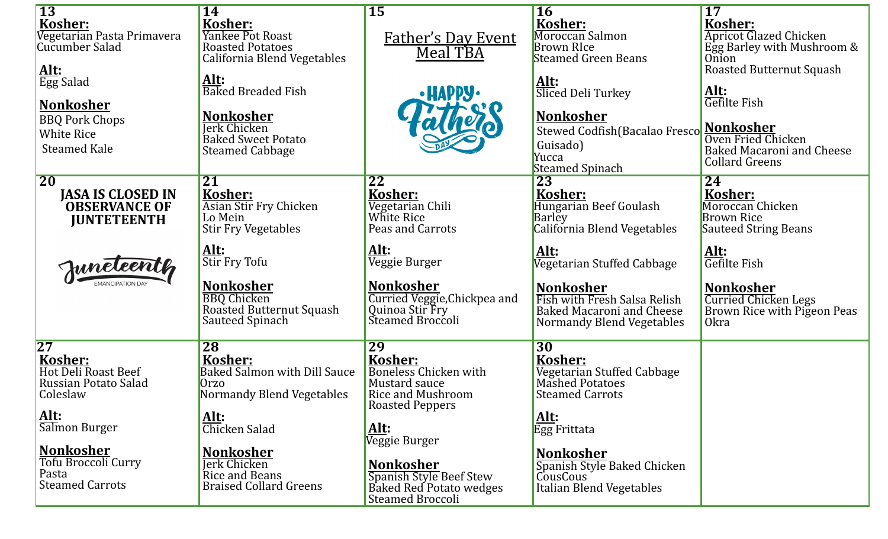| $\overline{13}$<br><b>Kosher:</b><br>Vegetarian Pasta Primavera<br>Cucumber Salad                          | <b>14</b><br>Kosher:<br>Yankee Pot Roast<br><b>Roasted Potatoes</b><br>California Blend Vegetables                                         | <b>15</b><br><b>Father's Day Event</b><br>Meal TBA                                                                         | <b>16</b><br>Kosher:<br>Moroccan Salmon<br><b>Brown RIce</b><br><b>Steamed Green Beans</b>                                                              | 17<br>Kosher:<br><b>Apricot Glazed Chicken</b><br>Egg Barley with Mushroom &<br>Onion<br><b>Roasted Butternut Squash</b>     |
|------------------------------------------------------------------------------------------------------------|--------------------------------------------------------------------------------------------------------------------------------------------|----------------------------------------------------------------------------------------------------------------------------|---------------------------------------------------------------------------------------------------------------------------------------------------------|------------------------------------------------------------------------------------------------------------------------------|
| Alt:<br>Egg Salad<br><b>Nonkosher</b><br><b>BBQ Pork Chops</b><br><b>White Rice</b><br><b>Steamed Kale</b> | <u>Alt:</u><br><b>Baked Breaded Fish</b><br><b>Nonkosher</b><br><b>Jerk Chicken</b><br><b>Baked Sweet Potato</b><br><b>Steamed Cabbage</b> | <b>.HAPPY.</b>                                                                                                             | Alt:<br>Sliced Deli Turkey<br><b>Nonkosher</b><br>Stewed Codfish(Bacalao Fresco<br>Guisado)<br>Yucca<br><b>Steamed Spinach</b>                          | Alt:<br>Gefilte Fish<br>Nonkosher<br>Oven Fried Chicken<br><b>Baked Macaroni and Cheese</b><br><b>Collard Greens</b>         |
| <b>20</b><br><b>JASA IS CLOSED IN</b><br><b>OBSERVANCE OF</b><br><b>JUNTETEENTH</b>                        | 21<br>Kosher:<br>Asian Stir Fry Chicken<br>Lo Mein<br><b>Stir Fry Vegetables</b>                                                           | 22<br>Kosher:<br>Vegetarian Chili<br>White Rice<br>Peas and Carrots                                                        | 23<br>Kosher:<br>Hungarian Beef Goulash<br>Barley<br>California Blend Vegetables                                                                        | 24<br>Kosher:<br>Moroccan Chicken<br><b>Brown Rice</b><br>Sauteed String Beans                                               |
| Juneleenth                                                                                                 | Alt:<br>Stir Fry Tofu<br><b>Nonkosher</b><br><b>BBQ</b> Chicken<br>Roasted Butternut Squash<br>Sauteed Spinach                             | <u>Alt:</u><br>Veggie Burger<br><b>Nonkosher</b><br>Curried Veggie, Chickpea and<br>Quinoa Stir Fry<br>Steamed Broccoli    | Alt:<br>Vegetarian Stuffed Cabbage<br><b>Nonkosher</b><br>Fish with Fresh Salsa Relish<br><b>Baked Macaroni and Cheese</b><br>Normandy Blend Vegetables | <u>Alt:</u><br>Gefilte Fish<br><b>Nonkosher</b><br><b>Curried Chicken Legs</b><br>Brown Rice with Pigeon Peas<br><b>Okra</b> |
| $\overline{27}$<br><b>Kosher:</b><br>Hot Deli Roast Beef<br>Russian Potato Salad<br>Coleslaw               | <b>28</b><br>Kosher:<br><b>Baked Salmon with Dill Sauce</b><br>Orzo<br>Normandy Blend Vegetables                                           | 29<br>Kosher:<br><b>Boneless Chicken with</b><br>Mustard sauce<br>Rice and Mushroom<br><b>Roasted Peppers</b>              | 30 <sup>°</sup><br>Kosher:<br>Vegetarian Stuffed Cabbage<br><b>Mashed Potatoes</b><br><b>Steamed Carrots</b>                                            |                                                                                                                              |
| Alt:<br>Salmon Burger<br><b>Nonkosher</b><br>Tofu Broccoli Curry<br>Pasta<br><b>Steamed Carrots</b>        | <u>Alt:</u><br>Chicken Salad<br><b>Nonkosher</b><br><b>Jerk Chicken</b><br>Rice and Beans<br><b>Braised Collard Greens</b>                 | Alt:<br>Veggie Burger<br><b>Nonkosher</b><br>Spanish Style Beef Stew<br>Baked Red Potato wedges<br><b>Steamed Broccoli</b> | <u>Alt</u> :<br>Egg Frittata<br><b>Nonkosher</b><br>Spanish Style Baked Chicken<br>CousCous<br><b>Italian Blend Vegetables</b>                          |                                                                                                                              |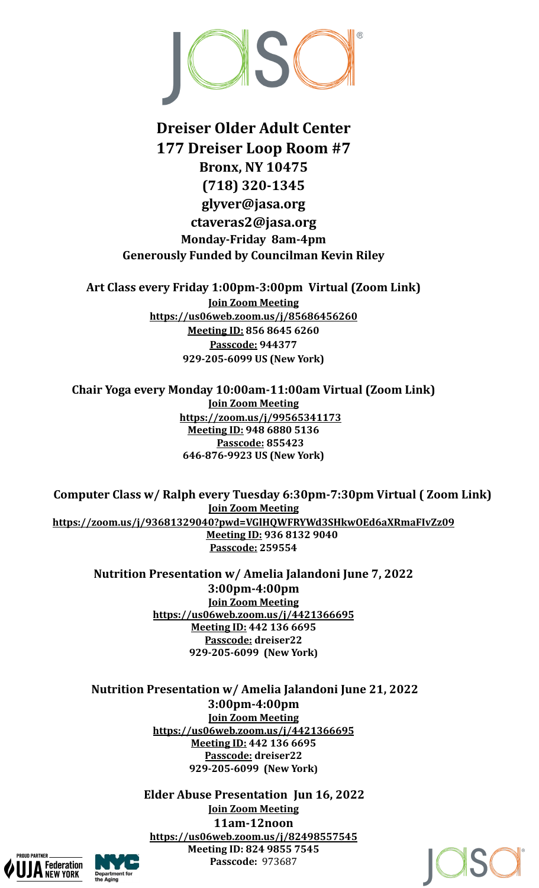

## **Dreiser Older Adult Center 177 Dreiser Loop Room #7 Bronx, NY 10475 (718) 320-1345 glyver@jasa.org ctaveras2@jasa.org Monday-Friday 8am-4pm Generously Funded by Councilman Kevin Riley**

**Art Class every Friday 1:00pm-3:00pm Virtual (Zoom Link) Join Zoom Meeting <https://us06web.zoom.us/j/85686456260> Meeting ID: 856 8645 6260 Passcode: 944377 929-205-6099 US (New York)**

**Chair Yoga every Monday 10:00am-11:00am Virtual (Zoom Link) Join Zoom Meeting <https://zoom.us/j/99565341173> Meeting ID: 948 6880 5136 Passcode: 855423 646-876-9923 US (New York)**

**Computer Class w/ Ralph every Tuesday 6:30pm-7:30pm Virtual ( Zoom Link) Join Zoom Meeting <https://zoom.us/j/93681329040?pwd=VGlHQWFRYWd3SHkwOEd6aXRmaFIvZz09> Meeting ID: 936 8132 9040 Passcode: 259554**

**Nutrition Presentation w/ Amelia Jalandoni June 7, 2022 3:00pm-4:00pm Join Zoom Meeting <https://us06web.zoom.us/j/4421366695> Meeting ID: 442 136 6695 Passcode: dreiser22 929-205-6099 (New York)**

**Nutrition Presentation w/ Amelia Jalandoni June 21, 2022 3:00pm-4:00pm Join Zoom Meeting <https://us06web.zoom.us/j/4421366695> Meeting ID: 442 136 6695 Passcode: dreiser22 929-205-6099 (New York)**

> **Elder Abuse Presentation Jun 16, 2022 Join Zoom Meeting 11am-12noon <https://us06web.zoom.us/j/82498557545> Meeting ID: 824 9855 7545 Passcode:** 973687